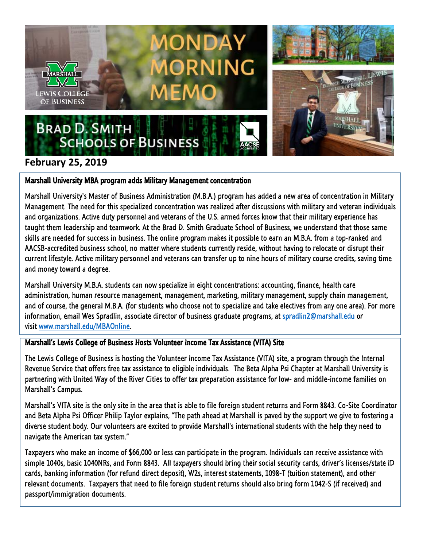

## **February 25, 2019**

## Marshall University MBA program adds Military Management concentration

Marshall University's Master of Business Administration (M.B.A.) program has added a new area of concentration in Military Management. The need for this specialized concentration was realized after discussions with military and veteran individuals and organizations. Active duty personnel and veterans of the U.S. armed forces know that their military experience has taught them leadership and teamwork. At the Brad D. Smith Graduate School of Business, we understand that those same skills are needed for success in business. The online program makes it possible to earn an M.B.A. from a top-ranked and AACSB-accredited business school, no matter where students currently reside, without having to relocate or disrupt their current lifestyle. Active military personnel and veterans can transfer up to nine hours of military course credits, saving time and money toward a degree.

Marshall University M.B.A. students can now specialize in eight concentrations: accounting, finance, health care administration, human resource management, management, marketing, military management, supply chain management, and of course, the general M.B.A. (for students who choose not to specialize and take electives from any one area). For more information, email Wes Spradlin, associate director of business graduate programs, at [spradlin2@marshall.edu](mailto:spradlin2@marshall.edu) or visit [www.marshall.edu/MBAOnline.](http://www.marshall.edu/MBAOnline)

## Marshall's Lewis College of Business Hosts Volunteer Income Tax Assistance (VITA) Site

The Lewis College of Business is hosting the Volunteer Income Tax Assistance (VITA) site, a program through the Internal Revenue Service that offers free tax assistance to eligible individuals. The Beta Alpha Psi Chapter at Marshall University is partnering with United Way of the River Cities to offer tax preparation assistance for low- and middle-income families on Marshall's Campus.

Marshall's VITA site is the only site in the area that is able to file foreign student returns and Form 8843. Co-Site Coordinator and Beta Alpha Psi Officer Philip Taylor explains, "The path ahead at Marshall is paved by the support we give to fostering a diverse student body. Our volunteers are excited to provide Marshall's international students with the help they need to navigate the American tax system."

Taxpayers who make an income of \$66,000 or less can participate in the program. Individuals can receive assistance with simple 1040s, basic 1040NRs, and Form 8843. All taxpayers should bring their social security cards, driver's licenses/state ID cards, banking information (for refund direct deposit), W2s, interest statements, 1098-T (tuition statement), and other relevant documents. Taxpayers that need to file foreign student returns should also bring form 1042-S (if received) and passport/immigration documents.